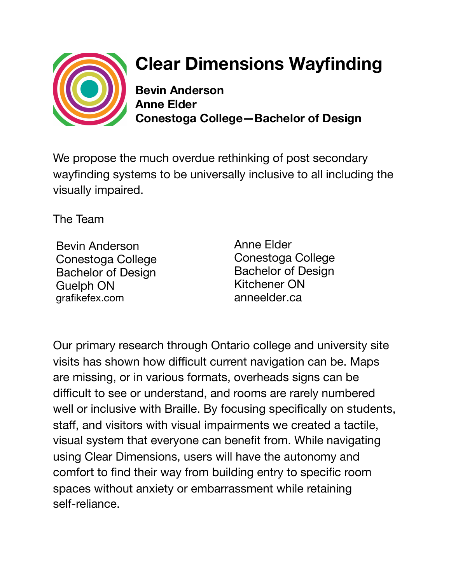

## **Clear Dimensions Wayfinding**

**Bevin Anderson Anne Elder Conestoga College—Bachelor of Design** 

We propose the much overdue rethinking of post secondary wayfinding systems to be universally inclusive to all including the visually impaired.

The Team

Bevin Anderson Conestoga College Bachelor of Design Guelph ON grafikefex.com

Anne Elder Conestoga College Bachelor of Design Kitchener ON anneelder.ca

Our primary research through Ontario college and university site visits has shown how difficult current navigation can be. Maps are missing, or in various formats, overheads signs can be difficult to see or understand, and rooms are rarely numbered well or inclusive with Braille. By focusing specifically on students, staff, and visitors with visual impairments we created a tactile, visual system that everyone can benefit from. While navigating using Clear Dimensions, users will have the autonomy and comfort to find their way from building entry to specific room spaces without anxiety or embarrassment while retaining self-reliance.